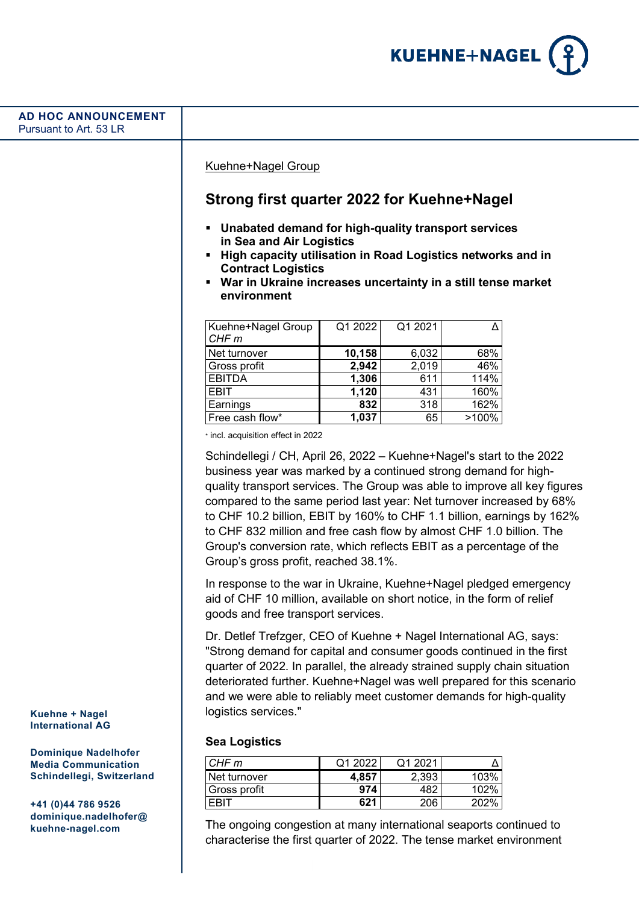

#### Kuehne+Nagel Group

# **Strong first quarter 2022 for Kuehne+Nagel**

- **Unabated demand for high-quality transport services in Sea and Air Logistics**
- **High capacity utilisation in Road Logistics networks and in Contract Logistics**
- **War in Ukraine increases uncertainty in a still tense market environment**

| Kuehne+Nagel Group<br>CHF <sub>m</sub> | Q1 2022 | Q1 2021 |       |
|----------------------------------------|---------|---------|-------|
| Net turnover                           | 10,158  | 6,032   | 68%   |
| Gross profit                           | 2,942   | 2,019   | 46%   |
| <b>EBITDA</b>                          | 1,306   | 611     | 114%  |
| EBIT                                   | 1,120   | 431     | 160%  |
| Earnings                               | 832     | 318     | 162%  |
| Free cash flow*                        | 1,037   | 65      | >100% |

\* incl. acquisition effect in 2022

Schindellegi / CH, April 26, 2022 – Kuehne+Nagel's start to the 2022 business year was marked by a continued strong demand for highquality transport services. The Group was able to improve all key figures compared to the same period last year: Net turnover increased by 68% to CHF 10.2 billion, EBIT by 160% to CHF 1.1 billion, earnings by 162% to CHF 832 million and free cash flow by almost CHF 1.0 billion. The Group's conversion rate, which reflects EBIT as a percentage of the Group's gross profit, reached 38.1%.

In response to the war in Ukraine, Kuehne+Nagel pledged emergency aid of CHF 10 million, available on short notice, in the form of relief goods and free transport services.

Dr. Detlef Trefzger, CEO of Kuehne + Nagel International AG, says: "Strong demand for capital and consumer goods continued in the first quarter of 2022. In parallel, the already strained supply chain situation deteriorated further. Kuehne+Nagel was well prepared for this scenario and we were able to reliably meet customer demands for high-quality logistics services."

# **Sea Logistics**

| CHF m        | Q1 2022 | Q1 2021 |      |
|--------------|---------|---------|------|
| Net turnover | 4.857   | 2.393   | 103% |
| Gross profit | 974     | 482     | 102% |
| ERIT         | 521     | 206     | 202% |

The ongoing congestion at many international seaports continued to characterise the first quarter of 2022. The tense market environment

**Kuehne + Nagel International AG**

**Dominique Nadelhofer Media Communication Schindellegi, Switzerland**

**+41 (0)44 786 9526 dominique.nadelhofer@ kuehne-nagel.com**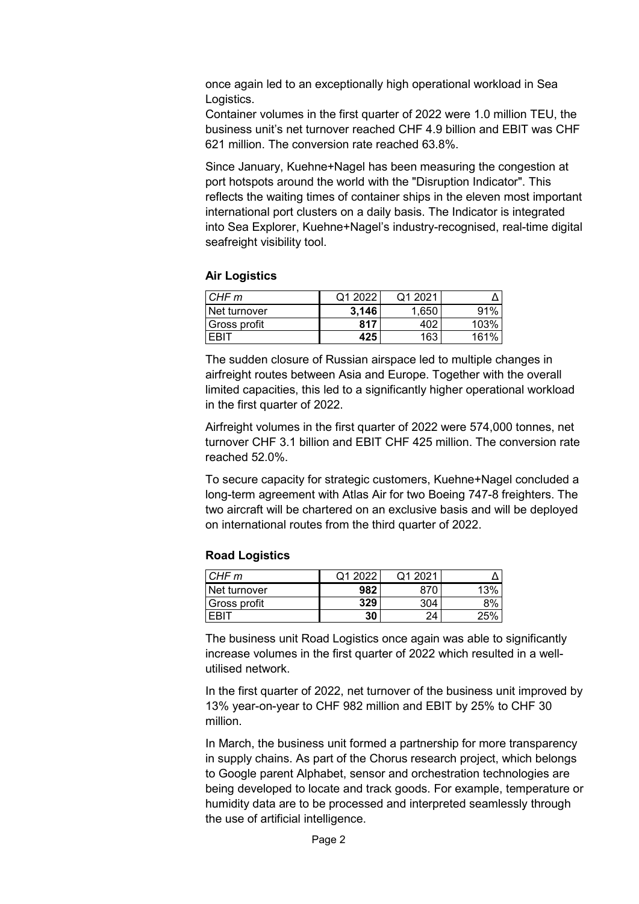once again led to an exceptionally high operational workload in Sea Logistics.

Container volumes in the first quarter of 2022 were 1.0 million TEU, the business unit's net turnover reached CHF 4.9 billion and EBIT was CHF 621 million. The conversion rate reached 63.8%.

Since January, Kuehne+Nagel has been measuring the congestion at port hotspots around the world with the "Disruption Indicator". This reflects the waiting times of container ships in the eleven most important international port clusters on a daily basis. The Indicator is integrated into Sea Explorer, Kuehne+Nagel's industry-recognised, real-time digital seafreight visibility tool.

# **Air Logistics**

| CHF m        | Q1 2022 | Q1 2021 |      |
|--------------|---------|---------|------|
| Net turnover | 3.146   | .650    | 91%  |
| Gross profit | 817     |         | 103% |
| ' ∈RI        | 425     | 163     | 161% |

The sudden closure of Russian airspace led to multiple changes in airfreight routes between Asia and Europe. Together with the overall limited capacities, this led to a significantly higher operational workload in the first quarter of 2022.

Airfreight volumes in the first quarter of 2022 were 574,000 tonnes, net turnover CHF 3.1 billion and EBIT CHF 425 million. The conversion rate reached 52.0%.

To secure capacity for strategic customers, Kuehne+Nagel concluded a long-term agreement with Atlas Air for two Boeing 747-8 freighters. The two aircraft will be chartered on an exclusive basis and will be deployed on international routes from the third quarter of 2022.

# **Road Logistics**

| CHF <sub>m</sub> | ממחפ | O1 2021 |     |
|------------------|------|---------|-----|
| Net turnover     | 982  |         |     |
| Gross profit     | 329  | 3∩4     |     |
|                  | 30   | 2Δ      | つにく |

The business unit Road Logistics once again was able to significantly increase volumes in the first quarter of 2022 which resulted in a wellutilised network.

In the first quarter of 2022, net turnover of the business unit improved by 13% year-on-year to CHF 982 million and EBIT by 25% to CHF 30 million.

In March, the business unit formed a partnership for more transparency in supply chains. As part of the Chorus research project, which belongs to Google parent Alphabet, sensor and orchestration technologies are being developed to locate and track goods. For example, temperature or humidity data are to be processed and interpreted seamlessly through the use of artificial intelligence.